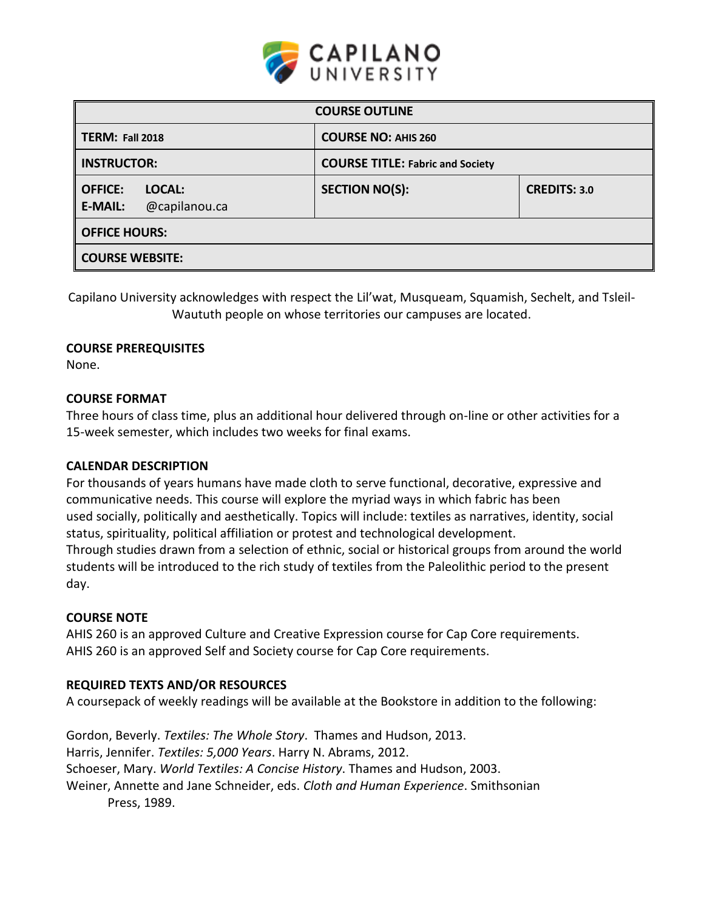

| <b>COURSE OUTLINE</b>                                       |                                         |                     |  |  |  |
|-------------------------------------------------------------|-----------------------------------------|---------------------|--|--|--|
| <b>TERM: Fall 2018</b>                                      | <b>COURSE NO: AHIS 260</b>              |                     |  |  |  |
| <b>INSTRUCTOR:</b>                                          | <b>COURSE TITLE: Fabric and Society</b> |                     |  |  |  |
| <b>OFFICE:</b><br>LOCAL:<br>@capilanou.ca<br><b>E-MAIL:</b> | <b>SECTION NO(S):</b>                   | <b>CREDITS: 3.0</b> |  |  |  |
| <b>OFFICE HOURS:</b>                                        |                                         |                     |  |  |  |
| <b>COURSE WEBSITE:</b>                                      |                                         |                     |  |  |  |

Capilano University acknowledges with respect the Lil'wat, Musqueam, Squamish, Sechelt, and Tsleil-Waututh people on whose territories our campuses are located.

#### **COURSE PREREQUISITES**

None.

#### **COURSE FORMAT**

Three hours of class time, plus an additional hour delivered through on-line or other activities for a 15-week semester, which includes two weeks for final exams.

#### **CALENDAR DESCRIPTION**

For thousands of years humans have made cloth to serve functional, decorative, expressive and communicative needs. This course will explore the myriad ways in which fabric has been used socially, politically and aesthetically. Topics will include: textiles as narratives, identity, social status, spirituality, political affiliation or protest and technological development. Through studies drawn from a selection of ethnic, social or historical groups from around the world students will be introduced to the rich study of textiles from the Paleolithic period to the present day.

#### **COURSE NOTE**

AHIS 260 is an approved Culture and Creative Expression course for Cap Core requirements. AHIS 260 is an approved Self and Society course for Cap Core requirements.

### **REQUIRED TEXTS AND/OR RESOURCES**

A coursepack of weekly readings will be available at the Bookstore in addition to the following:

Gordon, Beverly. *Textiles: The Whole Story*. Thames and Hudson, 2013. Harris, Jennifer. *Textiles: 5,000 Years*. Harry N. Abrams, 2012. Schoeser, Mary. *World Textiles: A Concise History*. Thames and Hudson, 2003. Weiner, Annette and Jane Schneider, eds. *Cloth and Human Experience*. Smithsonian Press, 1989.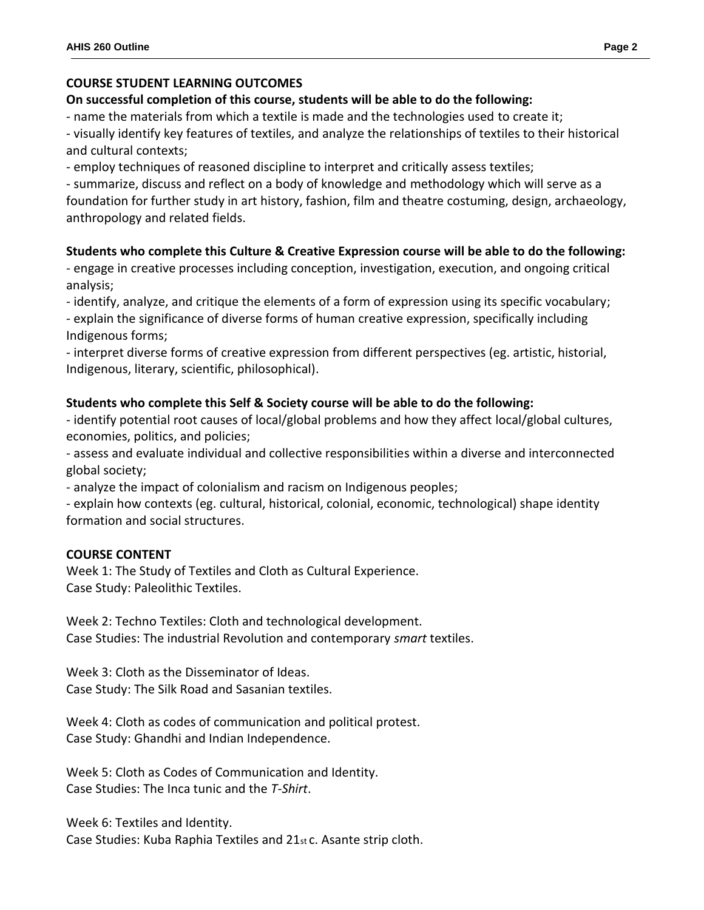# **COURSE STUDENT LEARNING OUTCOMES**

# **On successful completion of this course, students will be able to do the following:**

- name the materials from which a textile is made and the technologies used to create it;

- visually identify key features of textiles, and analyze the relationships of textiles to their historical and cultural contexts;

- employ techniques of reasoned discipline to interpret and critically assess textiles;

- summarize, discuss and reflect on a body of knowledge and methodology which will serve as a foundation for further study in art history, fashion, film and theatre costuming, design, archaeology, anthropology and related fields.

# **Students who complete this Culture & Creative Expression course will be able to do the following:**

- engage in creative processes including conception, investigation, execution, and ongoing critical analysis;

- identify, analyze, and critique the elements of a form of expression using its specific vocabulary;

- explain the significance of diverse forms of human creative expression, specifically including Indigenous forms;

- interpret diverse forms of creative expression from different perspectives (eg. artistic, historial, Indigenous, literary, scientific, philosophical).

# **Students who complete this Self & Society course will be able to do the following:**

- identify potential root causes of local/global problems and how they affect local/global cultures, economies, politics, and policies;

- assess and evaluate individual and collective responsibilities within a diverse and interconnected global society;

- analyze the impact of colonialism and racism on Indigenous peoples;

- explain how contexts (eg. cultural, historical, colonial, economic, technological) shape identity formation and social structures.

### **COURSE CONTENT**

Week 1: The Study of Textiles and Cloth as Cultural Experience. Case Study: Paleolithic Textiles.

Week 2: Techno Textiles: Cloth and technological development. Case Studies: The industrial Revolution and contemporary *smart* textiles.

Week 3: Cloth as the Disseminator of Ideas. Case Study: The Silk Road and Sasanian textiles.

Week 4: Cloth as codes of communication and political protest. Case Study: Ghandhi and Indian Independence.

Week 5: Cloth as Codes of Communication and Identity. Case Studies: The Inca tunic and the *T-Shirt*.

Week 6: Textiles and Identity. Case Studies: Kuba Raphia Textiles and 21st c. Asante strip cloth.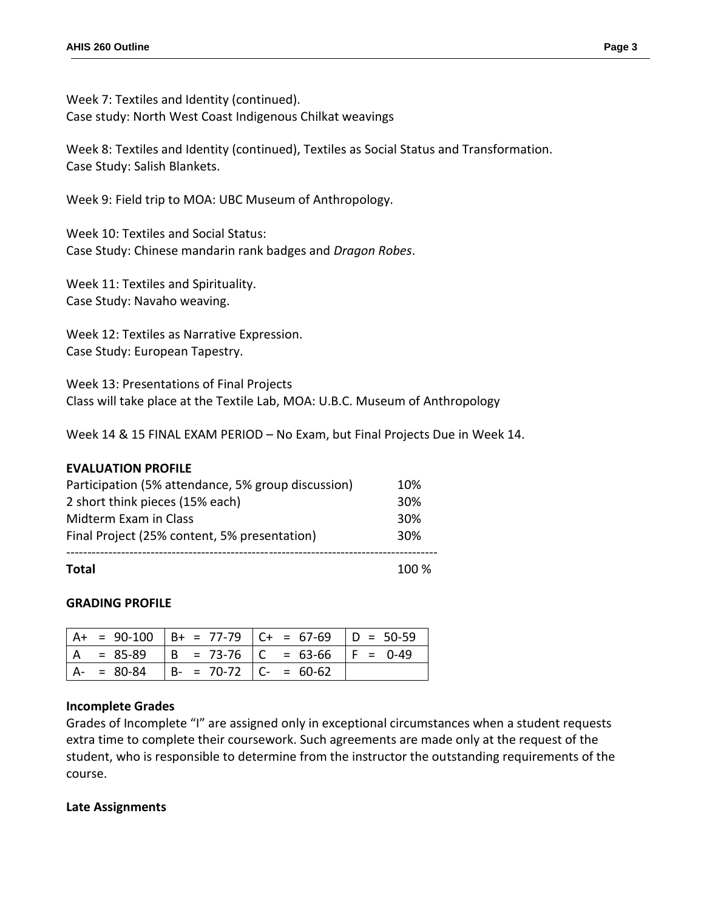Week 7: Textiles and Identity (continued). Case study: North West Coast Indigenous Chilkat weavings

Week 8: Textiles and Identity (continued), Textiles as Social Status and Transformation. Case Study: Salish Blankets.

Week 9: Field trip to MOA: UBC Museum of Anthropology.

Week 10: Textiles and Social Status: Case Study: Chinese mandarin rank badges and *Dragon Robes*.

Week 11: Textiles and Spirituality. Case Study: Navaho weaving.

Week 12: Textiles as Narrative Expression. Case Study: European Tapestry.

Week 13: Presentations of Final Projects Class will take place at the Textile Lab, MOA: U.B.C. Museum of Anthropology

Week 14 & 15 FINAL EXAM PERIOD – No Exam, but Final Projects Due in Week 14.

### **EVALUATION PROFILE**

| <b>Total</b>                                       | 100% |
|----------------------------------------------------|------|
| Final Project (25% content, 5% presentation)       | 30%  |
| Midterm Exam in Class                              | 30%  |
| 2 short think pieces (15% each)                    | 30%  |
| Participation (5% attendance, 5% group discussion) | 10%  |

### **GRADING PROFILE**

|               |                           | $A+ = 90-100$ $B+ = 77-79$ $C+ = 67-69$ $D = 50-59$ |  |
|---------------|---------------------------|-----------------------------------------------------|--|
| $= 85-89$     |                           | $  B = 73-76   C = 63-66   F = 0-49$                |  |
| $A - = 80-84$ | $  B - 70-72   C - 60-62$ |                                                     |  |

### **Incomplete Grades**

Grades of Incomplete "I" are assigned only in exceptional circumstances when a student requests extra time to complete their coursework. Such agreements are made only at the request of the student, who is responsible to determine from the instructor the outstanding requirements of the course.

#### **Late Assignments**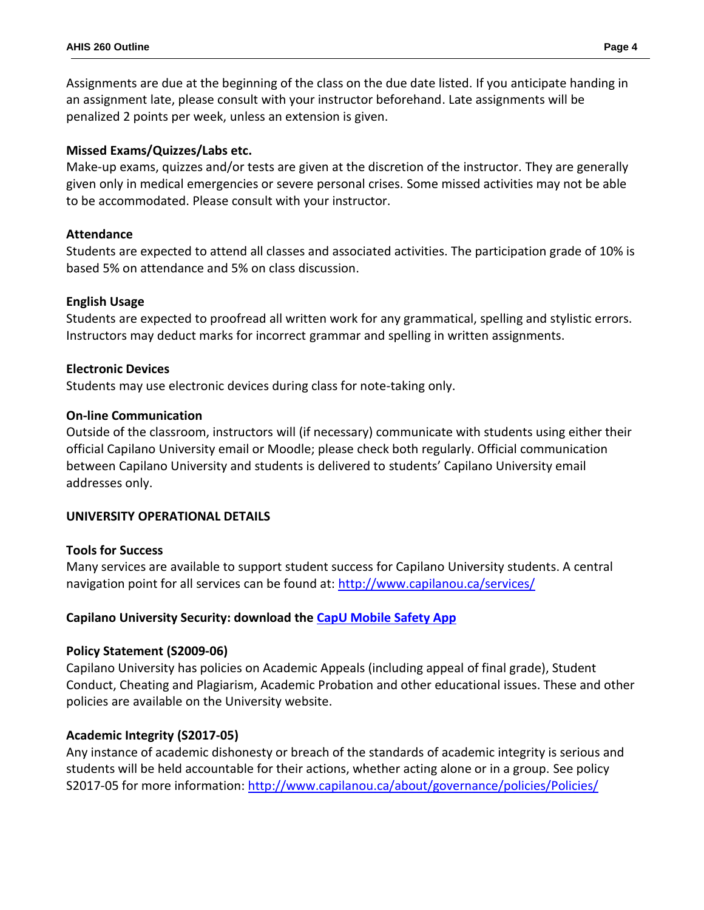Assignments are due at the beginning of the class on the due date listed. If you anticipate handing in an assignment late, please consult with your instructor beforehand. Late assignments will be penalized 2 points per week, unless an extension is given.

## **Missed Exams/Quizzes/Labs etc.**

Make-up exams, quizzes and/or tests are given at the discretion of the instructor. They are generally given only in medical emergencies or severe personal crises. Some missed activities may not be able to be accommodated. Please consult with your instructor.

# **Attendance**

Students are expected to attend all classes and associated activities. The participation grade of 10% is based 5% on attendance and 5% on class discussion.

# **English Usage**

Students are expected to proofread all written work for any grammatical, spelling and stylistic errors. Instructors may deduct marks for incorrect grammar and spelling in written assignments.

### **Electronic Devices**

Students may use electronic devices during class for note-taking only.

### **On-line Communication**

Outside of the classroom, instructors will (if necessary) communicate with students using either their official Capilano University email or Moodle; please check both regularly. Official communication between Capilano University and students is delivered to students' Capilano University email addresses only.

### **UNIVERSITY OPERATIONAL DETAILS**

### **Tools for Success**

Many services are available to support student success for Capilano University students. A central navigation point for all services can be found at:<http://www.capilanou.ca/services/>

# **Capilano University Security: download the [CapU Mobile Safety App](https://www.capilanou.ca/services/safety-security/CapU-Mobile-Safety-App/)**

### **Policy Statement (S2009-06)**

Capilano University has policies on Academic Appeals (including appeal of final grade), Student Conduct, Cheating and Plagiarism, Academic Probation and other educational issues. These and other policies are available on the University website.

# **Academic Integrity (S2017-05)**

Any instance of academic dishonesty or breach of the standards of academic integrity is serious and students will be held accountable for their actions, whether acting alone or in a group. See policy S2017-05 for more information: <http://www.capilanou.ca/about/governance/policies/Policies/>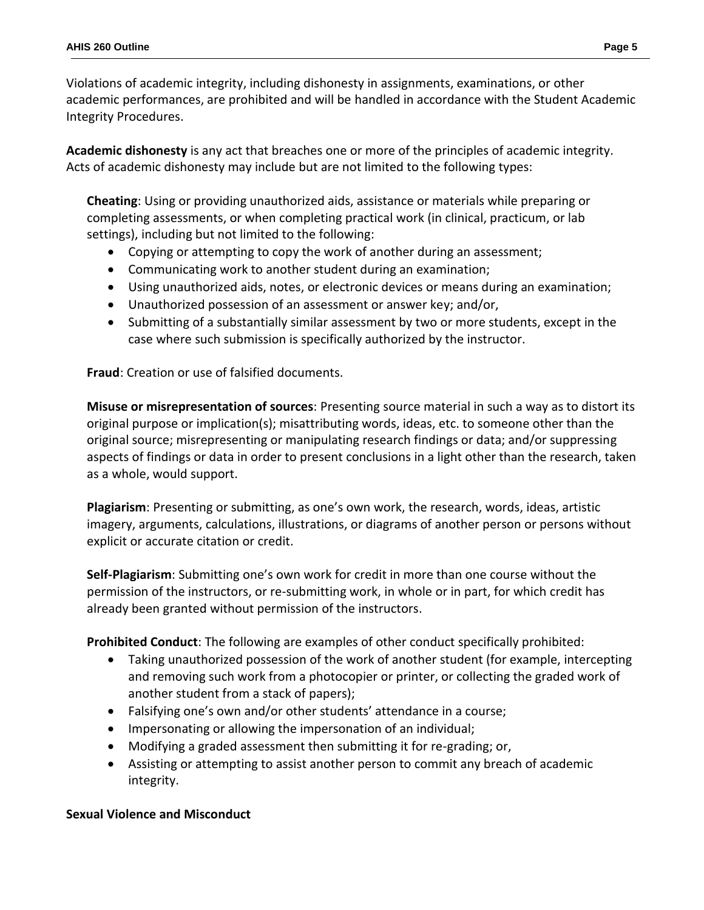Violations of academic integrity, including dishonesty in assignments, examinations, or other academic performances, are prohibited and will be handled in accordance with the Student Academic Integrity Procedures.

**Academic dishonesty** is any act that breaches one or more of the principles of academic integrity. Acts of academic dishonesty may include but are not limited to the following types:

**Cheating**: Using or providing unauthorized aids, assistance or materials while preparing or completing assessments, or when completing practical work (in clinical, practicum, or lab settings), including but not limited to the following:

- Copying or attempting to copy the work of another during an assessment;
- Communicating work to another student during an examination;
- Using unauthorized aids, notes, or electronic devices or means during an examination;
- Unauthorized possession of an assessment or answer key; and/or,
- Submitting of a substantially similar assessment by two or more students, except in the case where such submission is specifically authorized by the instructor.

**Fraud**: Creation or use of falsified documents.

**Misuse or misrepresentation of sources**: Presenting source material in such a way as to distort its original purpose or implication(s); misattributing words, ideas, etc. to someone other than the original source; misrepresenting or manipulating research findings or data; and/or suppressing aspects of findings or data in order to present conclusions in a light other than the research, taken as a whole, would support.

**Plagiarism**: Presenting or submitting, as one's own work, the research, words, ideas, artistic imagery, arguments, calculations, illustrations, or diagrams of another person or persons without explicit or accurate citation or credit.

**Self-Plagiarism**: Submitting one's own work for credit in more than one course without the permission of the instructors, or re-submitting work, in whole or in part, for which credit has already been granted without permission of the instructors.

**Prohibited Conduct**: The following are examples of other conduct specifically prohibited:

- Taking unauthorized possession of the work of another student (for example, intercepting and removing such work from a photocopier or printer, or collecting the graded work of another student from a stack of papers);
- Falsifying one's own and/or other students' attendance in a course;
- Impersonating or allowing the impersonation of an individual;
- Modifying a graded assessment then submitting it for re-grading; or,
- Assisting or attempting to assist another person to commit any breach of academic integrity.

# **Sexual Violence and Misconduct**